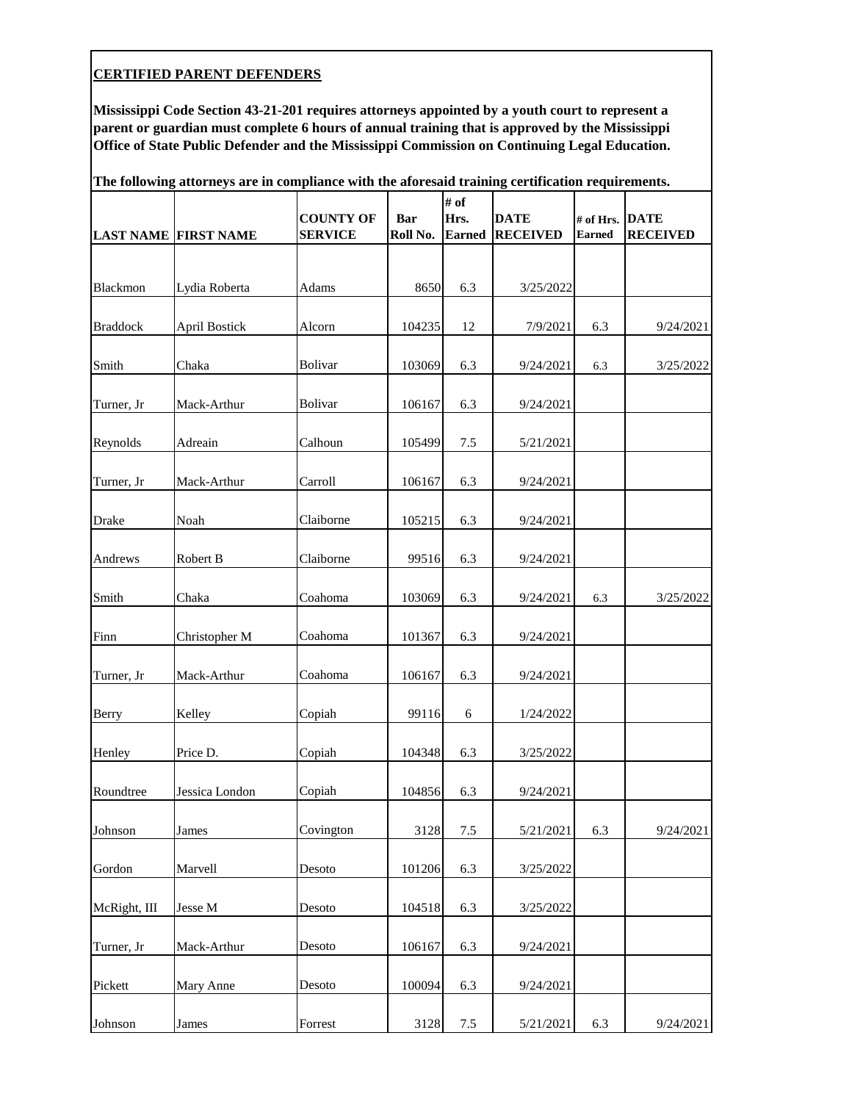| The following attorneys are in compliance with the aforesaid training certification requirements. |                             |                                    |                        |                               |                                |                            |                                |  |  |
|---------------------------------------------------------------------------------------------------|-----------------------------|------------------------------------|------------------------|-------------------------------|--------------------------------|----------------------------|--------------------------------|--|--|
|                                                                                                   | <b>LAST NAME FIRST NAME</b> | <b>COUNTY OF</b><br><b>SERVICE</b> | <b>Bar</b><br>Roll No. | # of<br>Hrs.<br><b>Earned</b> | <b>DATE</b><br><b>RECEIVED</b> | # of Hrs.<br><b>Earned</b> | <b>DATE</b><br><b>RECEIVED</b> |  |  |
|                                                                                                   |                             |                                    |                        |                               |                                |                            |                                |  |  |
| Blackmon                                                                                          | Lydia Roberta               | Adams                              | 8650                   | 6.3                           | 3/25/2022                      |                            |                                |  |  |
| <b>Braddock</b>                                                                                   | <b>April Bostick</b>        | Alcorn                             | 104235                 | 12                            | 7/9/2021                       | 6.3                        | 9/24/2021                      |  |  |
| Smith                                                                                             | Chaka                       | Bolivar                            | 103069                 | 6.3                           | 9/24/2021                      | 6.3                        | 3/25/2022                      |  |  |
| Turner, Jr                                                                                        | Mack-Arthur                 | Bolivar                            | 106167                 | 6.3                           | 9/24/2021                      |                            |                                |  |  |
| Reynolds                                                                                          | Adreain                     | Calhoun                            | 105499                 | 7.5                           | 5/21/2021                      |                            |                                |  |  |
| Turner, Jr                                                                                        | Mack-Arthur                 | Carroll                            | 106167                 | 6.3                           | 9/24/2021                      |                            |                                |  |  |
| <b>Drake</b>                                                                                      | Noah                        | Claiborne                          | 105215                 | 6.3                           | 9/24/2021                      |                            |                                |  |  |
| Andrews                                                                                           | Robert B                    | Claiborne                          | 99516                  | 6.3                           | 9/24/2021                      |                            |                                |  |  |
| Smith                                                                                             | Chaka                       | Coahoma                            | 103069                 | 6.3                           | 9/24/2021                      | 6.3                        | 3/25/2022                      |  |  |
| Finn                                                                                              | Christopher M               | Coahoma                            | 101367                 | 6.3                           | 9/24/2021                      |                            |                                |  |  |
| Turner, Jr                                                                                        | Mack-Arthur                 | Coahoma                            | 106167                 | 6.3                           | 9/24/2021                      |                            |                                |  |  |
| Berry                                                                                             | Kelley                      | Copiah                             | 99116                  | 6                             | 1/24/2022                      |                            |                                |  |  |
| Henley                                                                                            | Price D.                    | Copiah                             | 104348                 | 6.3                           | 3/25/2022                      |                            |                                |  |  |
| Roundtree                                                                                         | Jessica London              | Copiah                             | 104856                 | 6.3                           | 9/24/2021                      |                            |                                |  |  |
| Johnson                                                                                           | James                       | Covington                          | 3128                   | $7.5\,$                       | 5/21/2021                      | 6.3                        | 9/24/2021                      |  |  |
| Gordon                                                                                            | Marvell                     | Desoto                             | 101206                 | 6.3                           | 3/25/2022                      |                            |                                |  |  |
| McRight, III                                                                                      | Jesse M                     | Desoto                             | 104518                 | 6.3                           | 3/25/2022                      |                            |                                |  |  |
| Turner, Jr                                                                                        | Mack-Arthur                 | Desoto                             | 106167                 | 6.3                           | 9/24/2021                      |                            |                                |  |  |
| Pickett                                                                                           | Mary Anne                   | Desoto                             | 100094                 | 6.3                           | 9/24/2021                      |                            |                                |  |  |
| Johnson                                                                                           | James                       | Forrest                            | 3128                   | $7.5\,$                       | 5/21/2021                      | 6.3                        | 9/24/2021                      |  |  |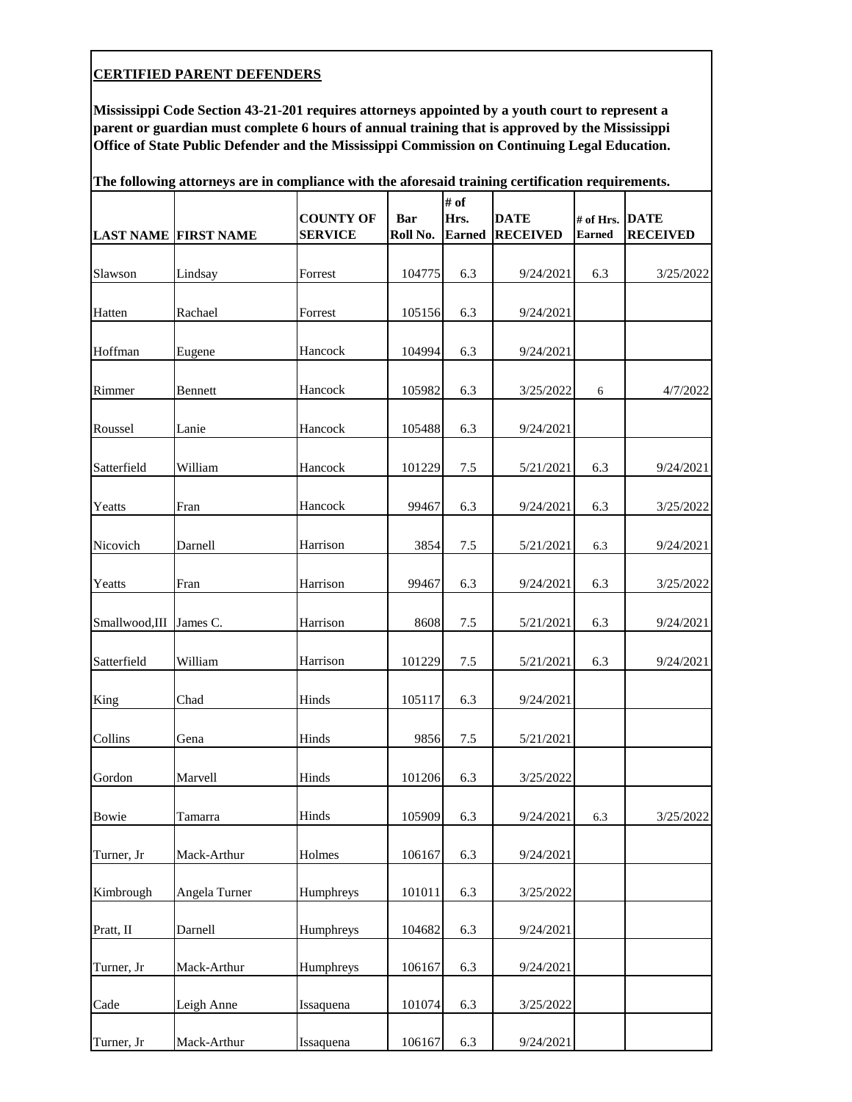| The following attorneys are in compliance with the aforesaid training certification requirements. |                             |                                    |                 |                               |                                |                            |                                |  |  |
|---------------------------------------------------------------------------------------------------|-----------------------------|------------------------------------|-----------------|-------------------------------|--------------------------------|----------------------------|--------------------------------|--|--|
|                                                                                                   | <b>LAST NAME FIRST NAME</b> | <b>COUNTY OF</b><br><b>SERVICE</b> | Bar<br>Roll No. | # of<br>Hrs.<br><b>Earned</b> | <b>DATE</b><br><b>RECEIVED</b> | # of Hrs.<br><b>Earned</b> | <b>DATE</b><br><b>RECEIVED</b> |  |  |
| Slawson                                                                                           | Lindsay                     | Forrest                            | 104775          | 6.3                           | 9/24/2021                      | 6.3                        | 3/25/2022                      |  |  |
| Hatten                                                                                            | Rachael                     | Forrest                            | 105156          | 6.3                           | 9/24/2021                      |                            |                                |  |  |
| Hoffman                                                                                           | Eugene                      | Hancock                            | 104994          | 6.3                           | 9/24/2021                      |                            |                                |  |  |
| Rimmer                                                                                            | Bennett                     | Hancock                            | 105982          | 6.3                           | 3/25/2022                      | 6                          | 4/7/2022                       |  |  |
| Roussel                                                                                           | Lanie                       | Hancock                            | 105488          | 6.3                           | 9/24/2021                      |                            |                                |  |  |
| Satterfield                                                                                       | William                     | Hancock                            | 101229          | 7.5                           | 5/21/2021                      | 6.3                        | 9/24/2021                      |  |  |
| Yeatts                                                                                            | Fran                        | Hancock                            | 99467           | 6.3                           | 9/24/2021                      | 6.3                        | 3/25/2022                      |  |  |
| Nicovich                                                                                          | Darnell                     | Harrison                           | 3854            | $7.5\,$                       | 5/21/2021                      | 6.3                        | 9/24/2021                      |  |  |
| Yeatts                                                                                            | Fran                        | Harrison                           | 99467           | 6.3                           | 9/24/2021                      | 6.3                        | 3/25/2022                      |  |  |
| Smallwood,III                                                                                     | James C.                    | Harrison                           | 8608            | 7.5                           | 5/21/2021                      | 6.3                        | 9/24/2021                      |  |  |
| Satterfield                                                                                       | William                     | Harrison                           | 101229          | $7.5\,$                       | 5/21/2021                      | 6.3                        | 9/24/2021                      |  |  |
| King                                                                                              | Chad                        | Hinds                              | 105117          | 6.3                           | 9/24/2021                      |                            |                                |  |  |
| Collins                                                                                           | Gena                        | Hinds                              | 9856            | 7.5                           | 5/21/2021                      |                            |                                |  |  |
| Gordon                                                                                            | Marvell                     | Hinds                              | 101206          | 6.3                           | 3/25/2022                      |                            |                                |  |  |
| Bowie                                                                                             | Tamarra                     | Hinds                              | 105909          | 6.3                           | 9/24/2021                      | 6.3                        | 3/25/2022                      |  |  |
| Turner, Jr                                                                                        | Mack-Arthur                 | Holmes                             | 106167          | 6.3                           | 9/24/2021                      |                            |                                |  |  |
| Kimbrough                                                                                         | Angela Turner               | Humphreys                          | 101011          | 6.3                           | 3/25/2022                      |                            |                                |  |  |
| Pratt, II                                                                                         | Darnell                     | Humphreys                          | 104682          | 6.3                           | 9/24/2021                      |                            |                                |  |  |
| Turner, Jr                                                                                        | Mack-Arthur                 | Humphreys                          | 106167          | 6.3                           | 9/24/2021                      |                            |                                |  |  |
| Cade                                                                                              | Leigh Anne                  | Issaquena                          | 101074          | 6.3                           | 3/25/2022                      |                            |                                |  |  |
| Turner, Jr                                                                                        | Mack-Arthur                 | Issaquena                          | 106167          | 6.3                           | 9/24/2021                      |                            |                                |  |  |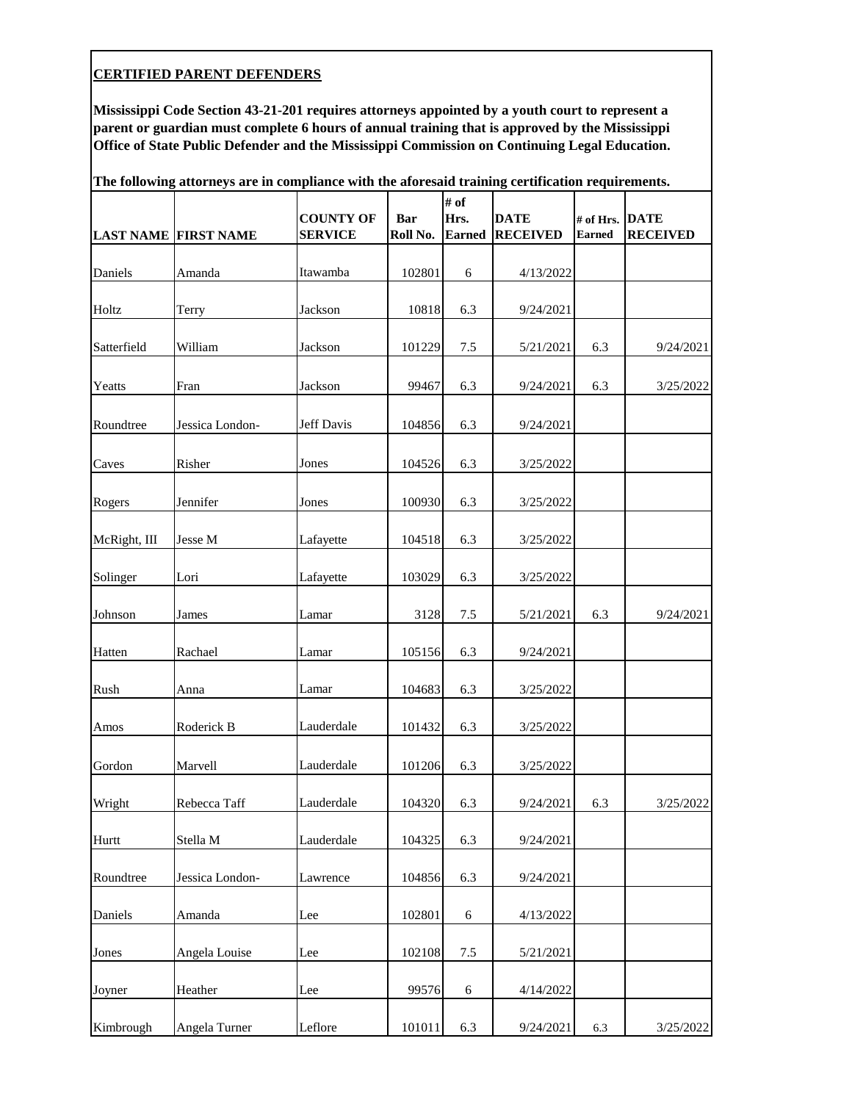|              | The following attorneys are in compliance with the aforesaid training certification requirements.<br># of |                                    |            |                       |                                |                            |                                |  |  |  |
|--------------|-----------------------------------------------------------------------------------------------------------|------------------------------------|------------|-----------------------|--------------------------------|----------------------------|--------------------------------|--|--|--|
|              |                                                                                                           | <b>COUNTY OF</b><br><b>SERVICE</b> | <b>Bar</b> | Hrs.<br><b>Earned</b> | <b>DATE</b><br><b>RECEIVED</b> | # of Hrs.<br><b>Earned</b> | <b>DATE</b><br><b>RECEIVED</b> |  |  |  |
|              | <b>LAST NAME FIRST NAME</b>                                                                               |                                    | Roll No.   |                       |                                |                            |                                |  |  |  |
| Daniels      | Amanda                                                                                                    | Itawamba                           | 102801     | 6                     | 4/13/2022                      |                            |                                |  |  |  |
| Holtz        | Terry                                                                                                     | Jackson                            | 10818      | 6.3                   | 9/24/2021                      |                            |                                |  |  |  |
| Satterfield  | William                                                                                                   | Jackson                            | 101229     | $7.5\,$               | 5/21/2021                      | 6.3                        | 9/24/2021                      |  |  |  |
| Yeatts       | Fran                                                                                                      | Jackson                            | 99467      | 6.3                   | 9/24/2021                      | 6.3                        | 3/25/2022                      |  |  |  |
| Roundtree    | Jessica London-                                                                                           | Jeff Davis                         | 104856     | 6.3                   | 9/24/2021                      |                            |                                |  |  |  |
| Caves        | Risher                                                                                                    | Jones                              | 104526     | 6.3                   | 3/25/2022                      |                            |                                |  |  |  |
| Rogers       | Jennifer                                                                                                  | Jones                              | 100930     | 6.3                   | 3/25/2022                      |                            |                                |  |  |  |
| McRight, III | Jesse M                                                                                                   | Lafayette                          | 104518     | 6.3                   | 3/25/2022                      |                            |                                |  |  |  |
| Solinger     | Lori                                                                                                      | Lafayette                          | 103029     | 6.3                   | 3/25/2022                      |                            |                                |  |  |  |
| Johnson      | James                                                                                                     | Lamar                              | 3128       | $7.5\,$               | 5/21/2021                      | 6.3                        | 9/24/2021                      |  |  |  |
| Hatten       | Rachael                                                                                                   | Lamar                              | 105156     | 6.3                   | 9/24/2021                      |                            |                                |  |  |  |
| Rush         | Anna                                                                                                      | Lamar                              | 104683     | 6.3                   | 3/25/2022                      |                            |                                |  |  |  |
| Amos         | Roderick B                                                                                                | Lauderdale                         | 101432     | 6.3                   | 3/25/2022                      |                            |                                |  |  |  |
| Gordon       | Marvell                                                                                                   | Lauderdale                         | 101206     | 6.3                   | 3/25/2022                      |                            |                                |  |  |  |
| Wright       | Rebecca Taff                                                                                              | Lauderdale                         | 104320     | 6.3                   | 9/24/2021                      | 6.3                        | 3/25/2022                      |  |  |  |
| Hurtt        | Stella M                                                                                                  | Lauderdale                         | 104325     | 6.3                   | 9/24/2021                      |                            |                                |  |  |  |
| Roundtree    | Jessica London-                                                                                           | Lawrence                           | 104856     | 6.3                   | 9/24/2021                      |                            |                                |  |  |  |
| Daniels      | Amanda                                                                                                    | Lee                                | 102801     | 6                     | 4/13/2022                      |                            |                                |  |  |  |
| Jones        | Angela Louise                                                                                             | Lee                                | 102108     | 7.5                   | 5/21/2021                      |                            |                                |  |  |  |
| Joyner       | Heather                                                                                                   | Lee                                | 99576      | $\sqrt{6}$            | 4/14/2022                      |                            |                                |  |  |  |
| Kimbrough    | Angela Turner                                                                                             | Leflore                            | 101011     | 6.3                   | 9/24/2021                      | 6.3                        | 3/25/2022                      |  |  |  |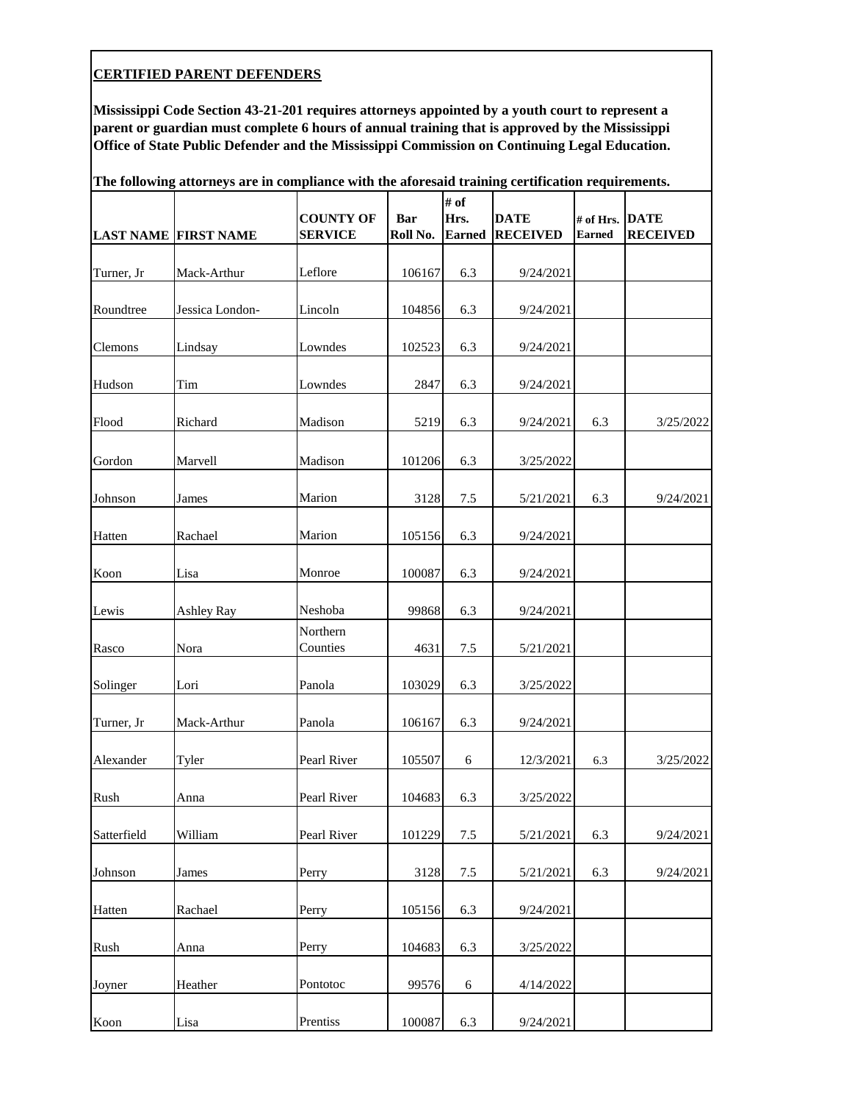| The following attorneys are in compliance with the aforesaid training certification requirements. |                             |                                    |                        |                               |                                |                            |                                |  |  |
|---------------------------------------------------------------------------------------------------|-----------------------------|------------------------------------|------------------------|-------------------------------|--------------------------------|----------------------------|--------------------------------|--|--|
|                                                                                                   | <b>LAST NAME FIRST NAME</b> | <b>COUNTY OF</b><br><b>SERVICE</b> | <b>Bar</b><br>Roll No. | # of<br>Hrs.<br><b>Earned</b> | <b>DATE</b><br><b>RECEIVED</b> | # of Hrs.<br><b>Earned</b> | <b>DATE</b><br><b>RECEIVED</b> |  |  |
| Turner, Jr                                                                                        | Mack-Arthur                 | Leflore                            | 106167                 | 6.3                           | 9/24/2021                      |                            |                                |  |  |
| Roundtree                                                                                         | Jessica London-             | Lincoln                            | 104856                 | 6.3                           | 9/24/2021                      |                            |                                |  |  |
| Clemons                                                                                           | Lindsay                     | Lowndes                            | 102523                 | 6.3                           | 9/24/2021                      |                            |                                |  |  |
| Hudson                                                                                            | Tim                         | Lowndes                            | 2847                   | 6.3                           | 9/24/2021                      |                            |                                |  |  |
| Flood                                                                                             | Richard                     | Madison                            | 5219                   | 6.3                           | 9/24/2021                      | 6.3                        | 3/25/2022                      |  |  |
| Gordon                                                                                            | Marvell                     | Madison                            | 101206                 | 6.3                           | 3/25/2022                      |                            |                                |  |  |
| Johnson                                                                                           | James                       | Marion                             | 3128                   | 7.5                           | 5/21/2021                      | 6.3                        | 9/24/2021                      |  |  |
| Hatten                                                                                            | Rachael                     | Marion                             | 105156                 | 6.3                           | 9/24/2021                      |                            |                                |  |  |
| Koon                                                                                              | Lisa                        | Monroe                             | 100087                 | 6.3                           | 9/24/2021                      |                            |                                |  |  |
| Lewis                                                                                             | <b>Ashley Ray</b>           | Neshoba                            | 99868                  | 6.3                           | 9/24/2021                      |                            |                                |  |  |
| Rasco                                                                                             | Nora                        | Northern<br>Counties               | 4631                   | 7.5                           | 5/21/2021                      |                            |                                |  |  |
| Solinger                                                                                          | Lori                        | Panola                             | 103029                 | 6.3                           | 3/25/2022                      |                            |                                |  |  |
| Turner, Jr                                                                                        | Mack-Arthur                 | Panola                             | 106167                 | 6.3                           | 9/24/2021                      |                            |                                |  |  |
| Alexander                                                                                         | Tyler                       | Pearl River                        | 105507                 | 6                             | 12/3/2021                      | 6.3                        | 3/25/2022                      |  |  |
| Rush                                                                                              | Anna                        | Pearl River                        | 104683                 | 6.3                           | 3/25/2022                      |                            |                                |  |  |
| Satterfield                                                                                       | William                     | Pearl River                        | 101229                 | $7.5$                         | 5/21/2021                      | 6.3                        | 9/24/2021                      |  |  |
| Johnson                                                                                           | James                       | Perry                              | 3128                   | $7.5$                         | 5/21/2021                      | 6.3                        | 9/24/2021                      |  |  |
| Hatten                                                                                            | Rachael                     | Perry                              | 105156                 | 6.3                           | 9/24/2021                      |                            |                                |  |  |
| Rush                                                                                              | Anna                        | Perry                              | 104683                 | 6.3                           | 3/25/2022                      |                            |                                |  |  |
| Joyner                                                                                            | Heather                     | Pontotoc                           | 99576                  | 6                             | 4/14/2022                      |                            |                                |  |  |
| Koon                                                                                              | Lisa                        | Prentiss                           | 100087                 | 6.3                           | 9/24/2021                      |                            |                                |  |  |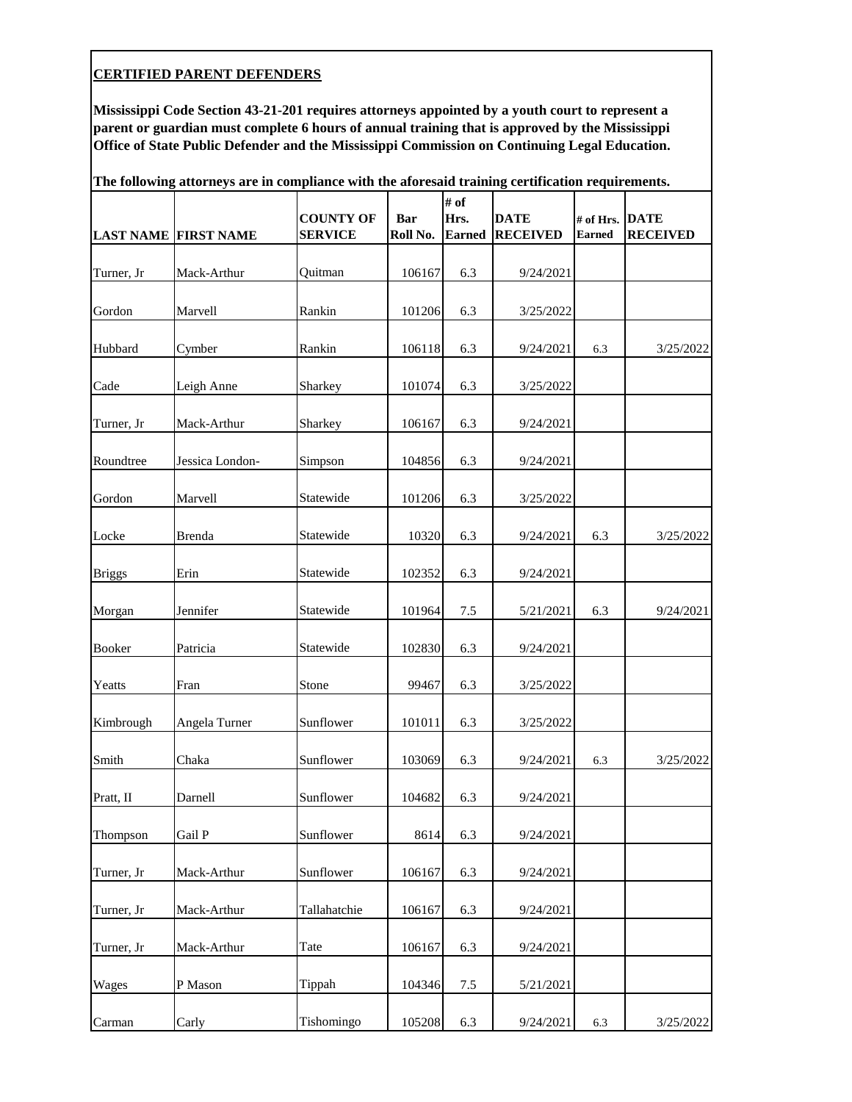**Mississippi Code Section 43-21-201 requires attorneys appointed by a youth court to represent a parent or guardian must complete 6 hours of annual training that is approved by the Mississippi Office of State Public Defender and the Mississippi Commission on Continuing Legal Education.**

|               | <b>LAST NAME FIRST NAME</b> | attorneys are in compnance with the aroresalu training certification requirements.<br><b>COUNTY OF</b><br><b>SERVICE</b> | <b>Bar</b><br>Roll No. | # of<br>Hrs.<br><b>Earned</b> | <b>DATE</b><br><b>RECEIVED</b> | # of Hrs. DATE<br><b>Earned</b> | <b>RECEIVED</b> |
|---------------|-----------------------------|--------------------------------------------------------------------------------------------------------------------------|------------------------|-------------------------------|--------------------------------|---------------------------------|-----------------|
| Turner, Jr    | Mack-Arthur                 | Quitman                                                                                                                  | 106167                 | 6.3                           | 9/24/2021                      |                                 |                 |
| Gordon        | Marvell                     | Rankin                                                                                                                   | 101206                 | 6.3                           | 3/25/2022                      |                                 |                 |
| Hubbard       | Cymber                      | Rankin                                                                                                                   | 106118                 | 6.3                           | 9/24/2021                      | 6.3                             | 3/25/2022       |
| Cade          | Leigh Anne                  | Sharkey                                                                                                                  | 101074                 | 6.3                           | 3/25/2022                      |                                 |                 |
| Turner, Jr    | Mack-Arthur                 | Sharkey                                                                                                                  | 106167                 | 6.3                           | 9/24/2021                      |                                 |                 |
| Roundtree     | Jessica London-             | Simpson                                                                                                                  | 104856                 | 6.3                           | 9/24/2021                      |                                 |                 |
| Gordon        | Marvell                     | Statewide                                                                                                                | 101206                 | 6.3                           | 3/25/2022                      |                                 |                 |
| Locke         | <b>Brenda</b>               | Statewide                                                                                                                | 10320                  | 6.3                           | 9/24/2021                      | 6.3                             | 3/25/2022       |
| <b>Briggs</b> | Erin                        | Statewide                                                                                                                | 102352                 | 6.3                           | 9/24/2021                      |                                 |                 |
| Morgan        | Jennifer                    | Statewide                                                                                                                | 101964                 | $7.5\,$                       | 5/21/2021                      | 6.3                             | 9/24/2021       |
| Booker        | Patricia                    | Statewide                                                                                                                | 102830                 | 6.3                           | 9/24/2021                      |                                 |                 |
| Yeatts        | Fran                        | Stone                                                                                                                    | 99467                  | 6.3                           | 3/25/2022                      |                                 |                 |
| Kimbrough     | Angela Turner               | Sunflower                                                                                                                | 101011                 | 6.3                           | 3/25/2022                      |                                 |                 |
| Smith         | Chaka                       | Sunflower                                                                                                                | 103069                 | 6.3                           | 9/24/2021                      | 6.3                             | 3/25/2022       |
| Pratt, II     | Darnell                     | Sunflower                                                                                                                | 104682                 | 6.3                           | 9/24/2021                      |                                 |                 |
| Thompson      | Gail P                      | Sunflower                                                                                                                | 8614                   | 6.3                           | 9/24/2021                      |                                 |                 |
| Turner, Jr    | Mack-Arthur                 | Sunflower                                                                                                                | 106167                 | 6.3                           | 9/24/2021                      |                                 |                 |
| Turner, Jr    | Mack-Arthur                 | Tallahatchie                                                                                                             | 106167                 | 6.3                           | 9/24/2021                      |                                 |                 |
| Turner, Jr    | Mack-Arthur                 | Tate                                                                                                                     | 106167                 | 6.3                           | 9/24/2021                      |                                 |                 |
| Wages         | P Mason                     | Tippah                                                                                                                   | 104346                 | $7.5\,$                       | 5/21/2021                      |                                 |                 |
| Carman        | Carly                       | Tishomingo                                                                                                               | 105208                 | 6.3                           | 9/24/2021                      | 6.3                             | 3/25/2022       |

**The following attorneys are in compliance with the aforesaid training certification requirements.**